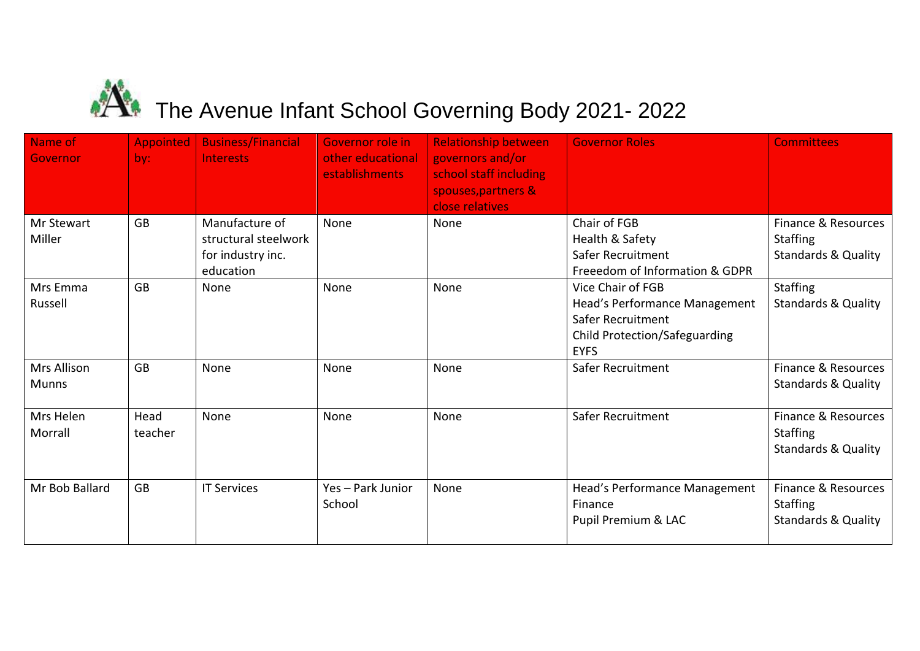## $\mathbf{\hat{A}}$  The Avenue Infant School Governing Body 2021- 2022

| Name of<br>Governor         | <b>Appointed</b><br>by: | <b>Business/Financial</b><br>Interests                                   | <b>Governor role in</b><br>other educational<br>establishments | <b>Relationship between</b><br>governors and/or<br>school staff including<br>spouses, partners &<br>close relatives | <b>Governor Roles</b>                                                                                                          | <b>Committees</b>                                                        |
|-----------------------------|-------------------------|--------------------------------------------------------------------------|----------------------------------------------------------------|---------------------------------------------------------------------------------------------------------------------|--------------------------------------------------------------------------------------------------------------------------------|--------------------------------------------------------------------------|
| Mr Stewart<br>Miller        | <b>GB</b>               | Manufacture of<br>structural steelwork<br>for industry inc.<br>education | None                                                           | None                                                                                                                | Chair of FGB<br>Health & Safety<br>Safer Recruitment<br>Freeedom of Information & GDPR                                         | Finance & Resources<br><b>Staffing</b><br><b>Standards &amp; Quality</b> |
| Mrs Emma<br>Russell         | <b>GB</b>               | None                                                                     | None                                                           | None                                                                                                                | Vice Chair of FGB<br>Head's Performance Management<br>Safer Recruitment<br><b>Child Protection/Safeguarding</b><br><b>EYFS</b> | <b>Staffing</b><br><b>Standards &amp; Quality</b>                        |
| Mrs Allison<br><b>Munns</b> | <b>GB</b>               | None                                                                     | None                                                           | None                                                                                                                | Safer Recruitment                                                                                                              | Finance & Resources<br><b>Standards &amp; Quality</b>                    |
| Mrs Helen<br>Morrall        | Head<br>teacher         | None                                                                     | None                                                           | None                                                                                                                | Safer Recruitment                                                                                                              | Finance & Resources<br><b>Staffing</b><br><b>Standards &amp; Quality</b> |
| Mr Bob Ballard              | <b>GB</b>               | <b>IT Services</b>                                                       | Yes - Park Junior<br>School                                    | None                                                                                                                | Head's Performance Management<br>Finance<br>Pupil Premium & LAC                                                                | Finance & Resources<br><b>Staffing</b><br><b>Standards &amp; Quality</b> |